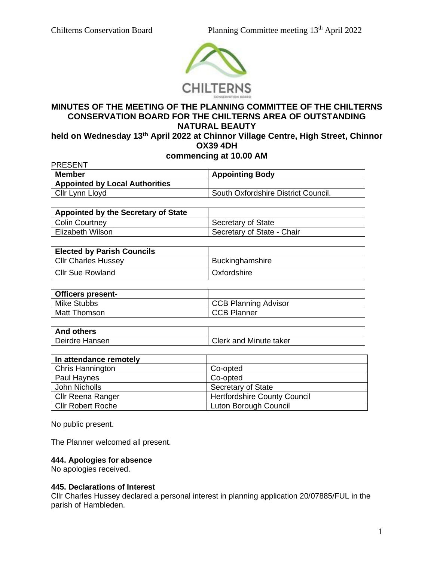

# **MINUTES OF THE MEETING OF THE PLANNING COMMITTEE OF THE CHILTERNS CONSERVATION BOARD FOR THE CHILTERNS AREA OF OUTSTANDING NATURAL BEAUTY**

# **held on Wednesday 13th April 2022 at Chinnor Village Centre, High Street, Chinnor OX39 4DH**

**commencing at 10.00 AM** 

| <b>PRESENT</b>                        |                                     |
|---------------------------------------|-------------------------------------|
| Member                                | <b>Appointing Body</b>              |
| <b>Appointed by Local Authorities</b> |                                     |
| Cllr Lynn Lloyd                       | South Oxfordshire District Council. |

| Appointed by the Secretary of State |                            |
|-------------------------------------|----------------------------|
| Colin Courtney                      | Secretary of State         |
| Elizabeth Wilson                    | Secretary of State - Chair |

| <b>Elected by Parish Councils</b> |                        |
|-----------------------------------|------------------------|
| <b>Cllr Charles Hussey</b>        | <b>Buckinghamshire</b> |
| <b>Cllr Sue Rowland</b>           | Oxfordshire            |

| <b>Officers present-</b> |                      |
|--------------------------|----------------------|
| Mike Stubbs              | CCB Planning Advisor |
| Matt Thomson             | <b>CCB Planner</b>   |

| <b>And others</b> |                        |
|-------------------|------------------------|
| Deirdre Hansen    | Clerk and Minute taker |

| In attendance remotely   |                                     |
|--------------------------|-------------------------------------|
| Chris Hannington         | Co-opted                            |
| Paul Haynes              | Co-opted                            |
| John Nicholls            | <b>Secretary of State</b>           |
| <b>Cllr Reena Ranger</b> | <b>Hertfordshire County Council</b> |
| <b>Cllr Robert Roche</b> | Luton Borough Council               |

No public present.

The Planner welcomed all present.

### **444. Apologies for absence**

No apologies received.

### **445. Declarations of Interest**

Cllr Charles Hussey declared a personal interest in planning application 20/07885/FUL in the parish of Hambleden.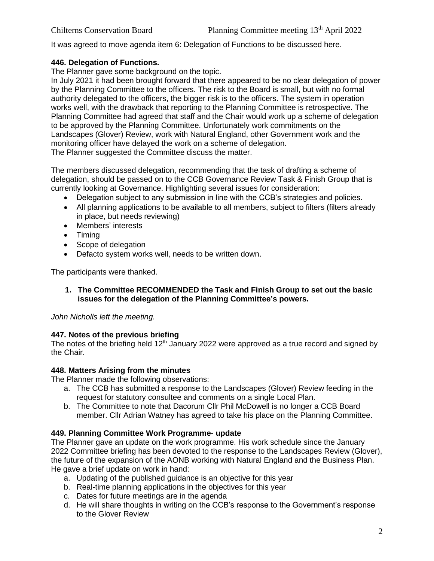It was agreed to move agenda item 6: Delegation of Functions to be discussed here.

### **446. Delegation of Functions.**

The Planner gave some background on the topic.

In July 2021 it had been brought forward that there appeared to be no clear delegation of power by the Planning Committee to the officers. The risk to the Board is small, but with no formal authority delegated to the officers, the bigger risk is to the officers. The system in operation works well, with the drawback that reporting to the Planning Committee is retrospective. The Planning Committee had agreed that staff and the Chair would work up a scheme of delegation to be approved by the Planning Committee. Unfortunately work commitments on the Landscapes (Glover) Review, work with Natural England, other Government work and the monitoring officer have delayed the work on a scheme of delegation. The Planner suggested the Committee discuss the matter.

The members discussed delegation, recommending that the task of drafting a scheme of delegation, should be passed on to the CCB Governance Review Task & Finish Group that is currently looking at Governance. Highlighting several issues for consideration:

- Delegation subject to any submission in line with the CCB's strategies and policies.
- All planning applications to be available to all members, subject to filters (filters already in place, but needs reviewing)
- Members' interests
- Timing
- Scope of delegation
- Defacto system works well, needs to be written down.

The participants were thanked.

### **1. The Committee RECOMMENDED the Task and Finish Group to set out the basic issues for the delegation of the Planning Committee's powers.**

### *John Nicholls left the meeting.*

### **447. Notes of the previous briefing**

The notes of the briefing held  $12<sup>th</sup>$  January 2022 were approved as a true record and signed by the Chair.

### **448. Matters Arising from the minutes**

The Planner made the following observations:

- a. The CCB has submitted a response to the Landscapes (Glover) Review feeding in the request for statutory consultee and comments on a single Local Plan.
- b. The Committee to note that Dacorum Cllr Phil McDowell is no longer a CCB Board member. Cllr Adrian Watney has agreed to take his place on the Planning Committee.

### **449. Planning Committee Work Programme- update**

The Planner gave an update on the work programme. His work schedule since the January 2022 Committee briefing has been devoted to the response to the Landscapes Review (Glover), the future of the expansion of the AONB working with Natural England and the Business Plan. He gave a brief update on work in hand:

- a. Updating of the published guidance is an objective for this year
- b. Real-time planning applications in the objectives for this year
- c. Dates for future meetings are in the agenda
- d. He will share thoughts in writing on the CCB's response to the Government's response to the Glover Review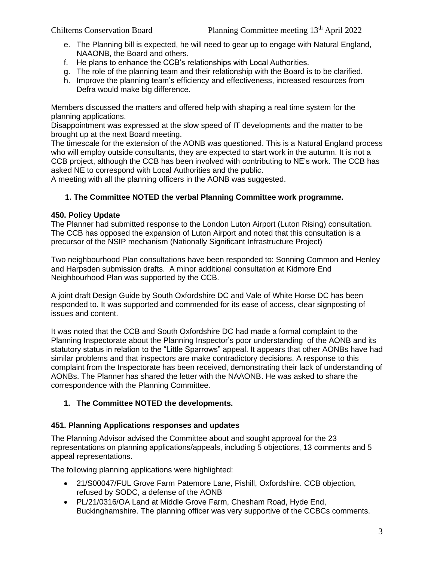- e. The Planning bill is expected, he will need to gear up to engage with Natural England, NAAONB, the Board and others.
- f. He plans to enhance the CCB's relationships with Local Authorities.
- g. The role of the planning team and their relationship with the Board is to be clarified.
- h. Improve the planning team's efficiency and effectiveness, increased resources from Defra would make big difference.

Members discussed the matters and offered help with shaping a real time system for the planning applications.

Disappointment was expressed at the slow speed of IT developments and the matter to be brought up at the next Board meeting.

The timescale for the extension of the AONB was questioned. This is a Natural England process who will employ outside consultants, they are expected to start work in the autumn. It is not a CCB project, although the CCB has been involved with contributing to NE's work. The CCB has asked NE to correspond with Local Authorities and the public.

A meeting with all the planning officers in the AONB was suggested.

# **1. The Committee NOTED the verbal Planning Committee work programme.**

### **450. Policy Update**

The Planner had submitted response to the London Luton Airport (Luton Rising) consultation. The CCB has opposed the expansion of Luton Airport and noted that this consultation is a precursor of the NSIP mechanism (Nationally Significant Infrastructure Project)

Two neighbourhood Plan consultations have been responded to: Sonning Common and Henley and Harpsden submission drafts. A minor additional consultation at Kidmore End Neighbourhood Plan was supported by the CCB.

A joint draft Design Guide by South Oxfordshire DC and Vale of White Horse DC has been responded to. It was supported and commended for its ease of access, clear signposting of issues and content.

It was noted that the CCB and South Oxfordshire DC had made a formal complaint to the Planning Inspectorate about the Planning Inspector's poor understanding of the AONB and its statutory status in relation to the "Little Sparrows" appeal. It appears that other AONBs have had similar problems and that inspectors are make contradictory decisions. A response to this complaint from the Inspectorate has been received, demonstrating their lack of understanding of AONBs. The Planner has shared the letter with the NAAONB. He was asked to share the correspondence with the Planning Committee.

# **1. The Committee NOTED the developments.**

# **451. Planning Applications responses and updates**

The Planning Advisor advised the Committee about and sought approval for the 23 representations on planning applications/appeals, including 5 objections, 13 comments and 5 appeal representations.

The following planning applications were highlighted:

- 21/S00047/FUL Grove Farm Patemore Lane, Pishill, Oxfordshire. CCB objection, refused by SODC, a defense of the AONB
- PL/21/0316/OA Land at Middle Grove Farm, Chesham Road, Hyde End, Buckinghamshire. The planning officer was very supportive of the CCBCs comments.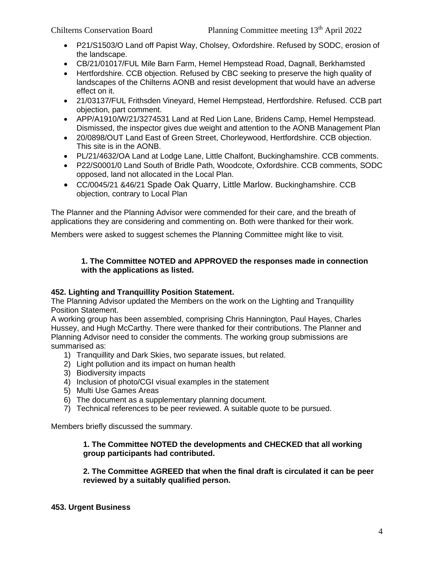- P21/S1503/O Land off Papist Way, Cholsey, Oxfordshire. Refused by SODC, erosion of the landscape.
- CB/21/01017/FUL Mile Barn Farm, Hemel Hempstead Road, Dagnall, Berkhamsted
- Hertfordshire. CCB objection. Refused by CBC seeking to preserve the high quality of landscapes of the Chilterns AONB and resist development that would have an adverse effect on it.
- 21/03137/FUL Frithsden Vineyard, Hemel Hempstead, Hertfordshire. Refused. CCB part objection, part comment.
- APP/A1910/W/21/3274531 Land at Red Lion Lane, Bridens Camp, Hemel Hempstead. Dismissed, the inspector gives due weight and attention to the AONB Management Plan
- 20/0898/OUT Land East of Green Street, Chorleywood, Hertfordshire. CCB objection. This site is in the AONB.
- PL/21/4632/OA Land at Lodge Lane, Little Chalfont, Buckinghamshire. CCB comments.
- P22/S0001/0 Land South of Bridle Path, Woodcote, Oxfordshire. CCB comments, SODC opposed, land not allocated in the Local Plan.
- CC/0045/21 &46/21 Spade Oak Quarry, Little Marlow. Buckinghamshire. CCB objection, contrary to Local Plan

The Planner and the Planning Advisor were commended for their care, and the breath of applications they are considering and commenting on. Both were thanked for their work.

Members were asked to suggest schemes the Planning Committee might like to visit.

### **1. The Committee NOTED and APPROVED the responses made in connection with the applications as listed.**

# **452. Lighting and Tranquillity Position Statement.**

The Planning Advisor updated the Members on the work on the Lighting and Tranquillity Position Statement.

A working group has been assembled, comprising Chris Hannington, Paul Hayes, Charles Hussey, and Hugh McCarthy. There were thanked for their contributions. The Planner and Planning Advisor need to consider the comments. The working group submissions are summarised as:

- 1) Tranquillity and Dark Skies, two separate issues, but related.
- 2) Light pollution and its impact on human health
- 3) Biodiversity impacts
- 4) Inclusion of photo/CGI visual examples in the statement
- 5) Multi Use Games Areas
- 6) The document as a supplementary planning document.
- 7) Technical references to be peer reviewed. A suitable quote to be pursued.

Members briefly discussed the summary.

### **1. The Committee NOTED the developments and CHECKED that all working group participants had contributed.**

**2. The Committee AGREED that when the final draft is circulated it can be peer reviewed by a suitably qualified person.**

# **453. Urgent Business**